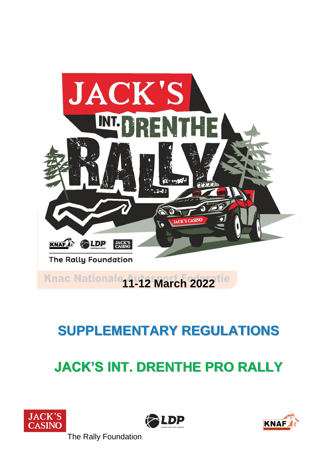

## **JACK'S INT. DRENTHE PRO RALLY**







The Rally Foundation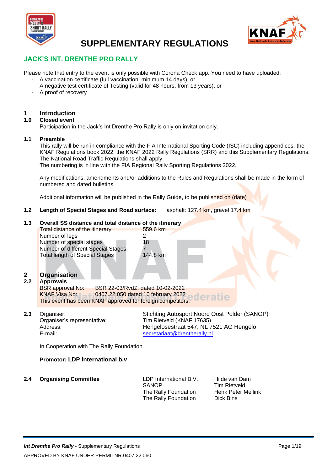



#### **JACK'S INT. DRENTHE PRO RALLY**

Please note that entry to the event is only possible with Corona Check app. You need to have uploaded:

- A vaccination certificate (full vaccination, minimum 14 days), or
- A negative test certificate of Testing (valid for 48 hours, from 13 years), or
- A proof of recovery

### **1 Introduction**

#### **1.0 Closed event**

Participation in the Jack's Int Drenthe Pro Rally is only on invitation only.

#### **1.1 Preamble**

This rally will be run in compliance with the FIA International Sporting Code (ISC) including appendices, the KNAF Regulations book 2022, the KNAF 2022 Rally Regulations (SRR) and this Supplementary Regulations. The National Road Traffic Regulations shall apply.

The numbering is in line with the FIA Regional Rally Sporting Regulations 2022.

Any modifications, amendments and/or additions to the Rules and Regulations shall be made in the form of numbered and dated bulletins.

Additional information will be published in the Rally Guide, to be published on (date)

559.6 km

144.8 km

**1.2 Length of Special Stages and Road surface:** asphalt: 127.4 km, gravel 17.4 km

#### **1.3 Overall SS distance and total distance of the itinerary**

| <b>Total distance of the itinerary</b> | 55 |
|----------------------------------------|----|
| Number of legs                         | 2  |
| Number of special stages               | 18 |
| Number of different Special Stages     |    |
| <b>Total length of Special Stages</b>  | 14 |
|                                        |    |

#### **2 Organisation**

**2.2 Approvals** BSR 22-03/RvdZ, dated 10-02-2022 KNAF Visa No: 0407.22.050 dated 10 february 2022 This event has been KNAF approved for foreign competitors.

Organiser's representative: Tim Rietveld (KNAF 17635)

**2.3** Organiser: Stichting Autosport Noord Oost Polder (SANOP) Address: 
Hengelosestraat 547, NL 7521 AG Hengelo<br>
E-mail: 
Secretariaat @drentherally.nl [secretariaat@drentherally.nl](mailto:secretariaat@drentherally.nl)

In Cooperation with The Rally Foundation

#### **Promotor: LDP International b.v**

**2.4 Organising Committee** LDP International B.V. Hilde van Dam

SANOP Tim Rietveld<br>The Rally Foundation Henk Peter Meilink The Rally Foundation The Rally Foundation Dick Bins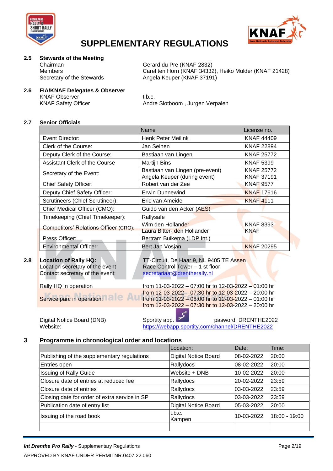



### **2.5 Stewards of the Meeting**

Chairman Gerard du Pre (KNAF 2832)<br>Members Garel ten Horn (KNAF 34332) Carel ten Horn (KNAF 34332), Heiko Mulder (KNAF 21428) Secretary of the Stewards Angela Keuper (KNAF 37191)

#### **2.6 FIA/KNAF Delegates & Observer**

KNAF Observer t.b.c.

KNAF Safety Officer **Andre Slotboom** , Jurgen Verpalen

#### **2.7 Senior Officials**

|                                              | <b>Name</b>                                                     | License no.                            |
|----------------------------------------------|-----------------------------------------------------------------|----------------------------------------|
| Event Director:                              | Henk Peter Meilink                                              | <b>KNAF 44409</b>                      |
| Clerk of the Course:                         | Jan Seinen                                                      | <b>KNAF 22894</b>                      |
| Deputy Clerk of the Course:                  | Bastiaan van Lingen                                             | <b>KNAF 25772</b>                      |
| Assistant Clerk of the Course                | <b>Martijn Bins</b>                                             | <b>KNAF 5399</b>                       |
| Secretary of the Event:                      | Bastiaan van Lingen (pre-event)<br>Angela Keuper (during event) | <b>KNAF 25772</b><br><b>KNAF 37191</b> |
| <b>Chief Safety Officer:</b>                 | Robert van der Zee                                              | <b>KNAF 9577</b>                       |
| Deputy Chief Safety Officer:                 | <b>Erwin Dunnewind</b>                                          | <b>KNAF 17616</b>                      |
| Scrutineers (Chief Scrutineer):              | Eric van Ameide                                                 | <b>KNAF4111</b>                        |
| Chief Medical Officer (CMO):                 | Guido van den Acker (AES)                                       |                                        |
| Timekeeping (Chief Timekeeper):              | Rallysafe                                                       |                                        |
| <b>Competitors' Relations Officer (CRO):</b> | Wim den Hollander<br>Laura Bitter- den Hollander                | <b>KNAF 8393</b><br><b>KNAF</b>        |
| Press Officer:                               | Bertram Buikema (LDP Int.)                                      |                                        |
| <b>Environmental Officer:</b>                | Bert Jan Vosjan                                                 | <b>KNAF 20295</b>                      |

Location secretary of the event Race Control Tower – 1 st floor Contact secretary of the event: [secretariaat@drentherally.nl](mailto:secretariaat@drentherally.nl)

**2.8 Location of Rally HQ:** TT-Circuit, De Haar 9, NL 9405 TE Assen

Rally HQ in operation from 11-03-2022 – 07:00 hr to  $12-03-2022 - 01:00$  hr from 12-03-2022 – 07:30 hr to 12-03-2022 – 20:00 hr Service parc in operation: **Fig. 2002** – 08:00 hr to 12-03-2022 – 01:00 hr from 12-03-2022 – 07:30 hr to 12-03-2022 – 20:00 hr

Digital Notice Board (DNB) Sportity app. **Fig. 1.1 Set also pasword: DRENTHE2022** Website: <https://webapp.sportity.com/channel/DRENTHE2022>

#### **3 Programme in chronological order and locations**

|                                               | Location:                   | Date:      | Time:           |
|-----------------------------------------------|-----------------------------|------------|-----------------|
| Publishing of the supplementary regulations   | <b>Digital Notice Board</b> | 08-02-2022 | 20:00           |
| Entries open                                  | Rallydocs                   | 08-02-2022 | 20:00           |
| <b>Issuing of Rally Guide</b>                 | Website + DNB               | 10-02-2022 | 20:00           |
| Closure date of entries at reduced fee        | Rallydocs                   | 20-02-2022 | 23:59           |
| Closure date of entries                       | Rallydocs                   | 03-03-2022 | 23:59           |
| Closing date for order of extra service in SP | Rallydocs                   | 03-03-2022 | 23:59           |
| Publication date of entry list                | <b>Digital Notice Board</b> | 05-03-2022 | 20:00           |
| Issuing of the road book                      | t.b.c.<br>Kampen            | 10-03-2022 | $18:00 - 19:00$ |
|                                               |                             |            |                 |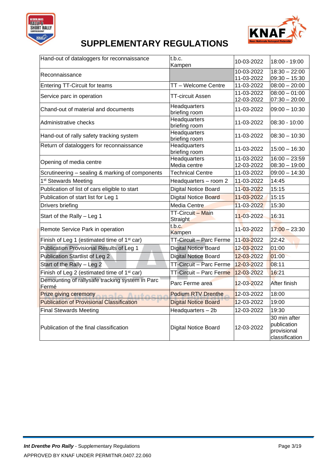



| Hand-out of dataloggers for reconnaissance               | t.b.c.<br>Kampen                     | 10-03-2022               | 18:00 - 19:00                                                |
|----------------------------------------------------------|--------------------------------------|--------------------------|--------------------------------------------------------------|
| Reconnaissance                                           |                                      | 10-03-2022<br>11-03-2022 | $18:30 - 22:00$<br>$09:30 - 15:30$                           |
| <b>Entering TT-Circuit for teams</b>                     | TT - Welcome Centre                  | 11-03-2022               | $08:00 - 20:00$                                              |
| Service parc in operation                                | TT-circuit Assen                     | 11-03-2022<br>12-03-2022 | $08:00 - 01:00$<br>$07:30 - 20:00$                           |
| Chand-out of material and documents                      | Headquarters<br>briefing room        | 11-03-2022               | $09:00 - 10:30$                                              |
| Administrative checks                                    | Headquarters<br>briefing room        | 11-03-2022               | 08:30 - 10:00                                                |
| Hand-out of rally safety tracking system                 | Headquarters<br>briefing room        | 11-03-2022               | $08:30 - 10:30$                                              |
| Return of dataloggers for reconnaissance                 | Headquarters<br>briefing room        | 11-03-2022               | $15:00 - 16:30$                                              |
| Opening of media centre                                  | Headquarters<br>Media centre         | 11-03-2022<br>12-03-2022 | $16:00 - 23:59$<br>$08:30 - 19:00$                           |
| Scrutineering - sealing & marking of components          | <b>Technical Centre</b>              | 11-03-2022               | $09:00 - 14:30$                                              |
| 1 <sup>st</sup> Stewards Meeting                         | Headquarters - room 2                | 11-03-2022               | 14:45                                                        |
| Publication of list of cars eligible to start            | <b>Digital Notice Board</b>          | 11-03-2022               | 15:15                                                        |
| Publication of start list for Leg 1                      | Digital Notice Board                 | 11-03-2022               | 15:15                                                        |
| Drivers briefing                                         | <b>Media Centre</b>                  | 11-03-2022               | 15:30                                                        |
| Start of the Rally - Leg 1                               | TT-Circuit - Main<br><b>Straight</b> | 11-03-2022               | 16:31                                                        |
| Remote Service Park in operation                         | t.b.c.<br>Kampen                     | 11-03-2022               | $17:00 - 23:30$                                              |
| Finish of Leg 1 (estimated time of 1 <sup>st</sup> car)  | TT-Circuit - Parc Ferme              | 11-03-2022               | 22:42                                                        |
| Publication Provisional Results of Leg 1                 | <b>Digital Notice Board</b>          | 12-03-2022               | 01:00                                                        |
| <b>Publication Startlist of Leg 2</b>                    | <b>Digital Notice Board</b>          | 12-03-2022               | 01:00                                                        |
| Start of the Rally - Leg 2                               | TT-Circuit - Parc Ferme              | 12-03-2022               | 08:11                                                        |
| Finish of Leg 2 (estimated time of 1 <sup>st</sup> car)  | TT-Circuit - Parc Ferme              | 12-03-2022               | 16:21                                                        |
| Demounting of rallysafe tracking system in Parc<br>Fermé | Parc Ferme area                      | 12-03-2022               | After finish                                                 |
| <b>Prize giving ceremony</b>                             | <b>Podium RTV Drenthe</b>            | 12-03-2022               | 18:00                                                        |
| <b>Publication of Provisional Classification</b>         | <b>Digital Notice Board</b>          | 12-03-2022               | 19:00                                                        |
| <b>Final Stewards Meeting</b>                            | Headquarters - 2b                    | 12-03-2022               | 19:30                                                        |
| Publication of the final classification                  | <b>Digital Notice Board</b>          | 12-03-2022               | 30 min after<br>publication<br>provisional<br>classification |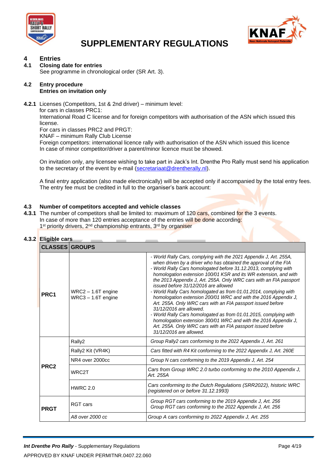



### **4 Entries**

#### **4.1 Closing date for entries**

See programme in chronological order (SR Art. 3).

#### **4.2 Entry procedure Entries on invitation only**

**4.2.1** Licenses (Competitors, 1st & 2nd driver) – minimum level:

for cars in classes PRC1:

International Road C license and for foreign competitors with authorisation of the ASN which issued this license.

For cars in classes PRC2 and PRGT:

KNAF – minimum Rally Club License

Foreign competitors: international licence rally with authorisation of the ASN which issued this licence In case of minor competitor/driver a parent/minor licence must be showed.

On invitation only, any licensee wishing to take part in Jack's Int. Drenthe Pro Rally must send his application to the secretary of the event by e-mail [\(secretariaat@drentherally.nl\)](mailto:secretariaat@drentherally.nl).

A final entry application (also made electronically) will be accepted only if accompanied by the total entry fees. The entry fee must be credited in full to the organiser's bank account:

#### **4.3 Number of competitors accepted and vehicle classes**

**4.3.1** The number of competitors shall be limited to: maximum of 120 cars, combined for the 3 events. In case of more than 120 entries acceptance of the entries will be done according: 1<sup>st</sup> priority drivers, 2<sup>nd</sup> championship entrants, 3<sup>rd</sup> by organiser

#### **4.3.2 Eligible cars**

| <b>CLASSES GROUPS</b> |                                              |                                                                                                                                                                                                                                                                                                                                                                                                                                                                                                                                                                                                                                                                                                                                                                                                                                                                  |  |  |
|-----------------------|----------------------------------------------|------------------------------------------------------------------------------------------------------------------------------------------------------------------------------------------------------------------------------------------------------------------------------------------------------------------------------------------------------------------------------------------------------------------------------------------------------------------------------------------------------------------------------------------------------------------------------------------------------------------------------------------------------------------------------------------------------------------------------------------------------------------------------------------------------------------------------------------------------------------|--|--|
| PRC <sub>1</sub>      | $WRC2 - 1.6T$ engine<br>$WRC3 - 1.6T$ engine | - World Rally Cars, complying with the 2021 Appendix J, Art. 255A,<br>when driven by a driver who has obtained the approval of the FIA<br>- World Rally Cars homologated before 31.12.2013, complying with<br>homologation extension 100/01 KSR and its WR extension, and with<br>the 2013 Appendix J, Art. 255A. Only WRC cars with an FIA passport<br>issued before 31/12/2016 are allowed<br>- World Rally Cars homologated as from 01.01.2014, complying with<br>homologation extension 200/01 WRC and with the 2016 Appendix J,<br>Art. 255A. Only WRC cars with an FIA passport issued before<br>31/12/2016 are allowed.<br>- World Rally Cars homologated as from 01.01.2015, complying with<br>homologation extension 300/01 WRC and with the 2016 Appendix J,<br>Art. 255A. Only WRC cars with an FIA passport issued before<br>31/12/2016 are allowed. |  |  |
|                       | Rally2                                       | Group Rally2 cars conforming to the 2022 Appendix J, Art. 261                                                                                                                                                                                                                                                                                                                                                                                                                                                                                                                                                                                                                                                                                                                                                                                                    |  |  |
|                       | Rally2 Kit (VR4K)                            | Cars fitted with R4 Kit conforming to the 2022 Appendix J, Art. 260E                                                                                                                                                                                                                                                                                                                                                                                                                                                                                                                                                                                                                                                                                                                                                                                             |  |  |
|                       | NR4 over 2000cc                              | Group N cars conforming to the 2019 Appendix J, Art. 254                                                                                                                                                                                                                                                                                                                                                                                                                                                                                                                                                                                                                                                                                                                                                                                                         |  |  |
| PRC <sub>2</sub>      | WRC <sub>2</sub> T                           | Cars from Group WRC 2.0 turbo conforming to the 2010 Appendix J,<br>Art. 255A                                                                                                                                                                                                                                                                                                                                                                                                                                                                                                                                                                                                                                                                                                                                                                                    |  |  |
|                       | <b>HWRC 2.0</b>                              | Cars conforming to the Dutch Regulations (SRR2022), historic WRC<br>(registered on or before 31.12.1993)                                                                                                                                                                                                                                                                                                                                                                                                                                                                                                                                                                                                                                                                                                                                                         |  |  |
| <b>PRGT</b>           | <b>RGT</b> cars                              | Group RGT cars conforming to the 2019 Appendix J, Art. 256<br>Group RGT cars conforming to the 2022 Appendix J, Art. 256                                                                                                                                                                                                                                                                                                                                                                                                                                                                                                                                                                                                                                                                                                                                         |  |  |
|                       | A8 over 2000 cc                              | Group A cars conforming to 2022 Appendix J, Art. 255                                                                                                                                                                                                                                                                                                                                                                                                                                                                                                                                                                                                                                                                                                                                                                                                             |  |  |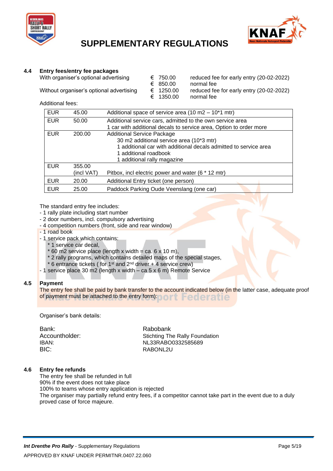



#### **4.4 Entry fees/entry fee packages**

With organiser's optional advertising  $\begin{array}{r} \epsilon \quad 750.00 \quad \text{reduced fee for early entry (20-02-2022)} \\ \epsilon \quad 850.00 \quad \text{normal fee} \end{array}$ 

€ 850.00 normal fee<br>€ 1250.00 reduced fee Without organiser's optional advertising € 1250.00 reduced fee for early entry (20-02-2022) € 1350.00 normal fee

Additional fees:

| <b>EUR</b> | 45.00      | Additional space of service area (10 m2 - 10*1 mtr)                |
|------------|------------|--------------------------------------------------------------------|
| <b>EUR</b> | 50.00      | Additional service cars, admitted to the own service area          |
|            |            | 1 car with additional decals to service area, Option to order more |
| <b>EUR</b> | 200.00     | <b>Additional Service Package</b>                                  |
|            |            | 30 m2 additional service area (10*3 mtr)                           |
|            |            | 1 additional car with additional decals admitted to service area   |
|            |            | 1 additional roadbook                                              |
|            |            | 1 additional rally magazine                                        |
| <b>EUR</b> | 355.00     |                                                                    |
|            | (incl VAT) | Pitbox, incl electric power and water (6 * 12 mtr)                 |
| EUR.       | 20.00      | Additional Entry ticket (one person)                               |
| <b>EUR</b> | 25.00      | Paddock Parking Oude Veenslang (one car)                           |

The standard entry fee includes:

- 1 rally plate including start number
- 2 door numbers, incl. compulsory advertising
- 4 competition numbers (front, side and rear window)
- 1 road book
- 1 service pack which contains:
	- 1 service car decal.
	- $*$  60 m2 service place (length x width = ca. 6 x 10 m),
	- \* 2 rally programs, which contains detailed maps of the special stages,
	- $*$  6 entrance tickets ( for 1<sup>st</sup> and  $2<sup>nd</sup>$  driver + 4 service crew)
- 1 service place 30 m2 (length x width ca 5 x 6 m) Remote Service

#### **4.5 Payment**

The entry fee shall be paid by bank transfer to the account indicated below (in the latter case, adequate proof of payment must be attached to the entry form): **Federatie** 

Organiser's bank details:

| Bank:          | Rabobank                              |
|----------------|---------------------------------------|
| Accountholder: | <b>Stichting The Rally Foundation</b> |
| IBAN:          | NL33RABO0332585689                    |
| BIC:           | RABONL2U                              |
|                |                                       |

#### **4.6 Entry fee refunds**

The entry fee shall be refunded in full

90% if the event does not take place

100% to teams whose entry application is rejected

The organiser may partially refund entry fees, if a competitor cannot take part in the event due to a duly proved case of force majeure.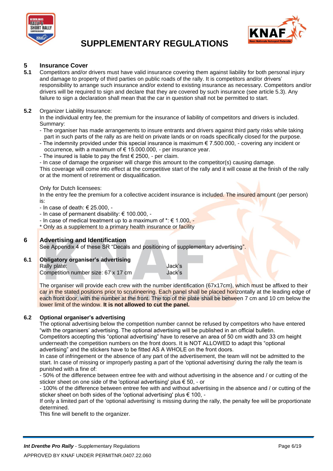



### **5 Insurance Cover**

**5.1** Competitors and/or drivers must have valid insurance covering them against liability for both personal injury and damage to property of third parties on public roads of the rally. It is competitors and/or drivers' responsibility to arrange such insurance and/or extend to existing insurance as necessary. Competitors and/or drivers will be required to sign and declare that they are covered by such insurance (see article 5.3). Any failure to sign a declaration shall mean that the car in question shall not be permitted to start.

#### **5.2** Organizer Liability Insurance:

In the individual entry fee, the premium for the insurance of liability of competitors and drivers is included. Summary:

- The organiser has made arrangements to insure entrants and drivers against third party risks while taking part in such parts of the rally as are held on private lands or on roads specifically closed for the purpose.
- The indemnity provided under this special insurance is maximum  $\epsilon$  7.500.000, covering any incident or occurrence, with a maximum of € 15.000.000, - per insurance year.
- The insured is liable to pay the first  $\epsilon$  2500, per claim.
- In case of damage the organiser will charge this amount to the competitor(s) causing damage.

This coverage will come into effect at the competitive start of the rally and it will cease at the finish of the rally or at the moment of retirement or disqualification.

#### Only for Dutch licensees:

In the entry fee the premium for a collective accident insurance is included. The insured amount (per person) is:

- In case of death: € 25.000, -
- In case of permanent disability: € 100.000, -
- In case of medical treatment up to a maximum of  $* \in 1.000$ , -
- \* Only as a supplement to a primary health insurance or facility

#### **6 Advertising and Identification**

See Appendix 4 of these SR "Decals and positioning of supplementary advertising".

#### **6.1 Obligatory organiser's advertising**

Rally plate: Jack's Competition number size: 67 x 17 cm Jack's

The organiser will provide each crew with the number identification (67x17cm), which must be affixed to their car in the stated positions prior to scrutineering. Each panel shall be placed horizontally at the leading edge of each front door, with the number at the front. The top of the plate shall be between 7 cm and 10 cm below the lower limit of the window. **It is not allowed to cut the panel.**

#### **6.2 Optional organiser's advertising**

The optional advertising below the competition number cannot be refused by competitors who have entered "with the organisers' advertising. The optional advertising will be published in an official bulletin.

Competitors accepting this "optional advertising" have to reserve an area of 50 cm width and 33 cm height underneath the competition numbers on the front doors. It is NOT ALLOWED to adapt this "optional advertising" and the stickers have to be fitted AS A WHOLE on the front doors.

In case of infringement or the absence of any part of the advertisement, the team will not be admitted to the start. In case of missing or improperly pasting a part of the 'optional advertising' during the rally the team is punished with a fine of:

- 50% of the difference between entree fee with and without advertising in the absence and / or cutting of the sticker sheet on one side of the 'optional advertising' plus € 50, - or

- 100% of the difference between entree fee with and without advertising in the absence and / or cutting of the sticker sheet on both sides of the 'optional advertising' plus € 100, -

If only a limited part of the 'optional advertising' is missing during the rally, the penalty fee will be proportionate determined.

This fine will benefit to the organizer.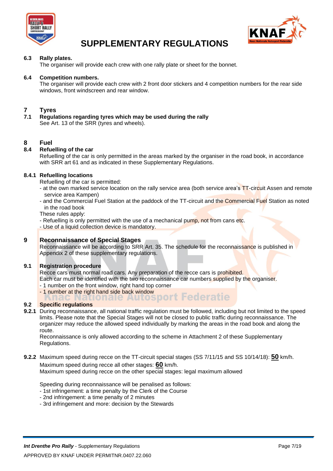



#### **6.3 Rally plates.**

The organiser will provide each crew with one rally plate or sheet for the bonnet.

#### **6.4 Competition numbers.**

The organiser will provide each crew with 2 front door stickers and 4 competition numbers for the rear side windows, front windscreen and rear window.

### **7 Tyres**

**7.1 Regulations regarding tyres which may be used during the rally** See Art. 13 of the SRR (tyres and wheels).

#### **8 Fuel**

#### **8.4 Refuelling of the car**

Refuelling of the car is only permitted in the areas marked by the organiser in the road book, in accordance with SRR art 61 and as indicated in these Supplementary Regulations.

#### **8.4.1 Refuelling locations**

Refuelling of the car is permitted:

- at the own marked service location on the rally service area (both service area's TT-circuit Assen and remote service area Kampen)
- and the Commercial Fuel Station at the paddock of the TT-circuit and the Commercial Fuel Station as noted in the road book

These rules apply:

- Refuelling is only permitted with the use of a mechanical pump, not from cans etc.
- Use of a liquid collection device is mandatory.

#### **9 Reconnaissance of Special Stages**

Reconnaissance will be according to SRR Art. 35. The schedule for the reconnaissance is published in Appendix 2 of these supplementary regulations.

#### **9.1 Registration procedure**

Recce cars must normal road cars. Any preparation of the recce cars is prohibited. Each car must be identified with the two reconnaissance car numbers supplied by the organiser.

- 1 number on the front window, right hand top corner
- 1 number at the right hand side back window<br>**All alcohol and Contract Federatie**

#### **9.2 Specific regulations**

**9.2.1** During reconnaissance, all national traffic regulation must be followed, including but not limited to the speed limits. Please note that the Special Stages will not be closed to public traffic during reconnaissance. The organizer may reduce the allowed speed individually by marking the areas in the road book and along the route.

Reconnaissance is only allowed according to the scheme in Attachment 2 of these Supplementary Regulations.

**9.2.2** Maximum speed during recce on the TT-circuit special stages (SS 7/11/15 and SS 10/14/18): **50** km/h. Maximum speed during recce all other stages: **60** km/h.

Maximum speed during recce on the other special stages: legal maximum allowed

Speeding during reconnaissance will be penalised as follows:

- 1st infringement: a time penalty by the Clerk of the Course
- 2nd infringement: a time penalty of 2 minutes
- 3rd infringement and more: decision by the Stewards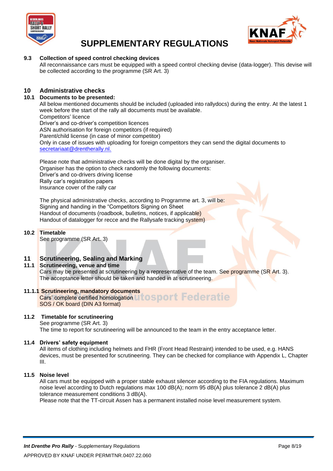



#### **9.3 Collection of speed control checking devices**

All reconnaissance cars must be equipped with a speed control checking devise (data-logger). This devise will be collected according to the programme (SR Art. 3)

#### **10 Administrative checks**

#### **10.1 Documents to be presented:**

All below mentioned documents should be included (uploaded into rallydocs) during the entry. At the latest 1 week before the start of the rally all documents must be available. Competitors' licence Driver's and co-driver's competition licences ASN authorisation for foreign competitors (if required) Parent/child license (in case of minor competitor) Only in case of issues with uploading for foreign competitors they can send the digital documents to [secretariaat@drentherally.nl.](mailto:secretariaat@drentherally.nl)

Please note that administrative checks will be done digital by the organiser. Organiser has the option to check randomly the following documents: Driver's and co-drivers driving license Rally car's registration papers Insurance cover of the rally car

The physical administrative checks, according to Programme art. 3, will be: Signing and handing in the "Competitors Signing on Sheet Handout of documents (roadbook, bulletins, notices, if applicable) Handout of datalogger for recce and the Rallysafe tracking system)

#### **10.2 Timetable**

See programme (SR Art. 3)

#### **11 Scrutineering, Sealing and Marking**

#### **11.1 Scrutineering, venue and time**

Cars may be presented at scrutineering by a representative of the team. See programme (SR Art. 3). The acceptance letter should be taken and handed in at scrutineering.

#### **11.1.1 Scrutineering, mandatory documents**

Cars' complete certified homologation U to sport Federatie SOS / OK board (DIN A3 format)

#### **11.2 Timetable for scrutineering**

See programme (SR Art. 3)

The time to report for scrutineering will be announced to the team in the entry acceptance letter.

#### **11.4 Drivers' safety equipment**

All items of clothing including helmets and FHR (Front Head Restraint) intended to be used, e.g. HANS devices, must be presented for scrutineering. They can be checked for compliance with Appendix L, Chapter III.

#### **11.5 Noise level**

All cars must be equipped with a proper stable exhaust silencer according to the FIA regulations. Maximum noise level according to Dutch regulations max 100 dB(A); norm 95 dB(A) plus tolerance 2 dB(A) plus tolerance measurement conditions 3 dB(A).

Please note that the TT-circuit Assen has a permanent installed noise level measurement system.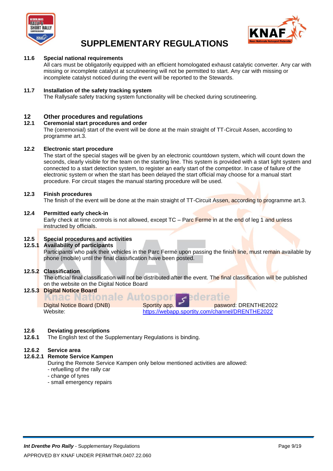



#### **11.6 Special national requirements**

All cars must be obligatorily equipped with an efficient homologated exhaust catalytic converter. Any car with missing or incomplete catalyst at scrutineering will not be permitted to start. Any car with missing or incomplete catalyst noticed during the event will be reported to the Stewards.

#### **11.7 Installation of the safety tracking system**

The Rallysafe safety tracking system functionality will be checked during scrutineering.

#### **12 Other procedures and regulations**

#### **12.1 Ceremonial start procedures and order**

The (ceremonial) start of the event will be done at the main straight of TT-Circuit Assen, according to programme art.3.

#### **12.2 Electronic start procedure**

The start of the special stages will be given by an electronic countdown system, which will count down the seconds, clearly visible for the team on the starting line. This system is provided with a start light system and connected to a start detection system, to register an early start of the competitor. In case of failure of the electronic system or when the start has been delayed the start official may choose for a manual start procedure. For circuit stages the manual starting procedure will be used.

#### **12.3 Finish procedures**

The finish of the event will be done at the main straight of TT-Circuit Assen, according to programme art.3.

#### **12.4 Permitted early check-in**

Early check at time controls is not allowed, except TC – Parc Ferme in at the end of leg 1 and unless instructed by officials.

#### **12.5 Special procedures and activities**

#### **12.5.1 Availability of participants**

Participants who park their vehicles in the Parc Fermé upon passing the finish line, must remain available by phone (mobile) until the final classification have been posted.

#### **12.5.2 Classification**

The official final classification will not be distributed after the event. The final classification will be published on the website on the Digital Notice Board

## **12.5.3 Digital Notice Board<br>Anac Nationale Autospol**

Digital Notice Board (DNB) Sportity app. **pasword: DRENTHE2022** Website: <https://webapp.sportity.com/channel/DRENTHE2022>

deratie

#### **12.6 Deviating prescriptions**

**12.6.1** The English text of the Supplementary Regulations is binding.

#### **12.6.2 Service area**

#### **12.6.2.1 Remote Service Kampen**

During the Remote Service Kampen only below mentioned activities are allowed:

- refuelling of the rally car

- change of tyres
- small emergency repairs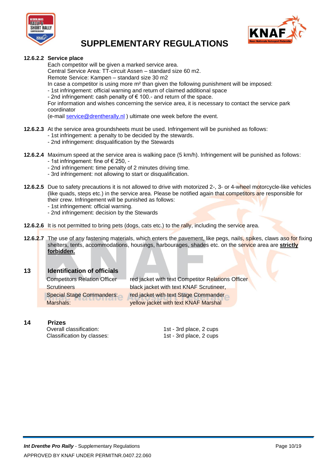



#### **12.6.2.2 Service place**

Each competitor will be given a marked service area.

Central Service Area: TT-circuit Assen – standard size 60 m2.

Remote Service: Kampen – standard size 30 m2

In case a competitor is using more m² than given the following punishment will be imposed:

- 1st infringement: official warning and return of claimed additional space
- 2nd infringement: cash penalty of € 100.- and return of the space.

For information and wishes concerning the service area, it is necessary to contact the service park coordinator

(e-mail [service@drentherally.nl](mailto:service@drentherally.nl) ) ultimate one week before the event.

- **12.6.2.3** At the service area groundsheets must be used. Infringement will be punished as follows:
	- 1st infringement: a penalty to be decided by the stewards.
	- 2nd infringement: disqualification by the Stewards
- **12.6.2.4** Maximum speed at the service area is walking pace (5 km/h). Infringement will be punished as follows: - 1st infringement: fine of  $\epsilon$  250, -
	-
	- 2nd infringement: time penalty of 2 minutes driving time.
	- 3rd infringement: not allowing to start or disqualification.
- **12.6.2.5** Due to safety precautions it is not allowed to drive with motorized 2-, 3- or 4-wheel motorcycle-like vehicles (like quads, steps etc.) in the service area. Please be notified again that competitors are responsible for their crew. Infringement will be punished as follows:
	- 1st infringement: official warning.
	- 2nd infringement: decision by the Stewards
- **12.6.2.6** It is not permitted to bring pets (dogs, cats etc.) to the rally, including the service area.
- **12.6.2.7** The use of any fastening materials, which enters the pavement, like pegs, nails, spikes, claws aso for fixing shelters, tents, accommodations, housings, harbourages, shades etc. on the service area are **strictly forbidden.**

#### **13 Identification of officials**

| <b>Competitors Relation Officer</b> | red jacket with text Competitor Relations Officer |
|-------------------------------------|---------------------------------------------------|
| <b>Scrutineers</b>                  | black jacket with text KNAF Scrutineer,           |
| <b>Special Stage Commanders:</b>    | red jacket with text Stage Commander              |
| Marshals:                           | yellow jacket with text KNAF Marshal              |

**14 Prizes**

Overall classification: 1st - 3rd place, 2 cups Classification by classes: 1st - 3rd place, 2 cups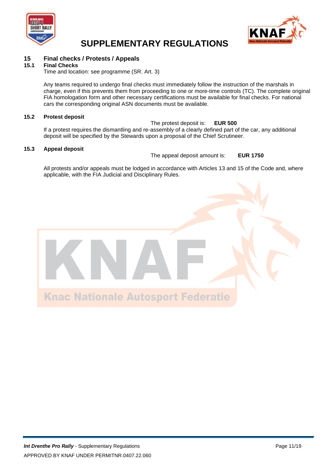



### **15 Final checks / Protests / Appeals**

#### **15.1 Final Checks**

Time and location: see programme (SR. Art. 3)

Any teams required to undergo final checks must immediately follow the instruction of the marshals in charge, even if this prevents them from proceeding to one or more-time controls (TC). The complete original FIA homologation form and other necessary certifications must be available for final checks. For national cars the corresponding original ASN documents must be available.

#### **15.2 Protest deposit**

The protest deposit is: **EUR 500** If a protest requires the dismantling and re-assembly of a clearly defined part of the car, any additional deposit will be specified by the Stewards upon a proposal of the Chief Scrutineer.

#### **15.3 Appeal deposit**

The appeal deposit amount is: **EUR 1750**

All protests and/or appeals must be lodged in accordance with Articles 13 and 15 of the Code and, where applicable, with the FIA Judicial and Disciplinary Rules.

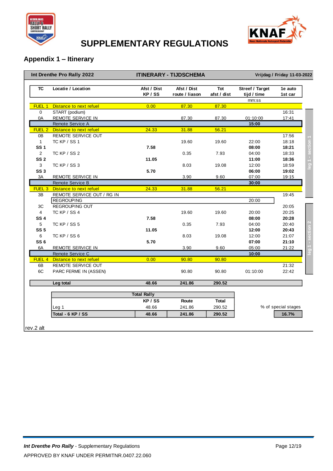



#### **Appendix 1 – Itinerary**

|                 | Int Drenthe Pro Rally 2022            |                        | <b>ITINERARY - TIJDSCHEMA</b> |                    |                                         | Vrijdag / Friday 11-03-2022 |                |
|-----------------|---------------------------------------|------------------------|-------------------------------|--------------------|-----------------------------------------|-----------------------------|----------------|
| <b>TC</b>       | Locatie / Location                    | Afst / Dist<br>KP / SS | Afst / Dist<br>route / liason | Tot<br>afst / dist | Streef / Target<br>tijd / time<br>mm:ss | 1e auto<br>1st car          |                |
| FUEL 1          | Distance to next refuel               | 0.00                   | 87.30                         | 87.30              |                                         |                             |                |
| 0               | START (podium)                        |                        |                               |                    |                                         | 16:31                       |                |
| 0A              | <b>REMOTE SERVICE IN</b>              |                        | 87.30                         | 87.30              | 01:10:00                                | 17:41                       |                |
|                 | Remote Service A                      |                        |                               |                    | 15:00                                   |                             |                |
| FUEL 2          | Distance to next refuel               | 24.33                  | 31.88                         | 56.21              |                                         |                             |                |
| 0B              | REMOTE SERVICE OUT                    |                        |                               |                    |                                         | 17:56                       |                |
| $\mathbf{1}$    | TC KP / SS 1                          |                        | 19.60                         | 19.60              | 22:00                                   | 18:18                       |                |
| <b>SS1</b>      |                                       | 7.58                   |                               |                    | 08:00                                   | 18:21                       | section        |
| $\overline{2}$  | <b>TC KP / SS 2</b>                   |                        | 0.35                          | 7.93               | 04:00                                   | 18:33                       |                |
| SS <sub>2</sub> |                                       | 11.05                  |                               |                    | 11:00                                   | 18:36                       |                |
| 3               | TC KP / SS 3                          |                        | 8.03                          | 19.08              | 12:00                                   | 18:59                       | $\frac{1}{10}$ |
| SS <sub>3</sub> |                                       | 5.70                   |                               |                    | 06:00                                   | 19:02                       |                |
| 3A              | <b>REMOTE SERVICE IN</b>              |                        | 3.90                          | 9.60               | 07:00                                   | 19:15                       |                |
|                 | Remote Service B                      |                        |                               |                    | 30:00                                   |                             |                |
|                 | <b>FUEL 3</b> Distance to next refuel | 24.33                  | 31.88                         | 56.21              |                                         |                             |                |
| 3B              | REMOTE SERVICE OUT / RG IN            |                        |                               |                    |                                         | 19:45                       |                |
|                 | <b>REGROUPING</b>                     |                        |                               |                    | 20:00                                   |                             |                |
| 3C              | <b>REGROUPING OUT</b>                 |                        |                               |                    |                                         | 20:05                       |                |
| $\overline{4}$  | TC KP / SS 4                          |                        | 19.60                         | 19.60              | 20:00                                   | 20:25                       |                |
| <b>SS4</b>      |                                       | 7.58                   |                               |                    | 08:00                                   | 20:28                       |                |
| 5               | TC KP / SS 5                          |                        | 0.35                          | 7.93               | 04:00                                   | 20:40                       |                |
| <b>SS 5</b>     |                                       | 11.05                  |                               |                    | 12:00                                   | 20:43                       |                |
| 6               | TC KP / SS 6                          |                        | 8.03                          | 19.08              | 12:00                                   | 21:07                       |                |
| SS <sub>6</sub> |                                       | 5.70                   |                               |                    | 07:00                                   | 21:10                       |                |
| 6A              | <b>REMOTE SERVICE IN</b>              |                        | 3.90                          | 9.60               | 05:00                                   | 21:22                       |                |
|                 | Remote Service C                      |                        |                               |                    | 10:00                                   |                             |                |
| FUEL 4          | Distance to next refuel               | 0.00                   | 90.80                         | 90.80              |                                         |                             |                |
| 6B              | <b>REMOTE SERVICE OUT</b>             |                        |                               |                    |                                         | 21:32                       |                |
| 6C              | PARC FERME IN (ASSEN)                 |                        | 90.80                         | 90.80              | 01:10:00                                | 22:42                       |                |
|                 | Leg total                             | 48.66                  | 241.86                        | 290.52             |                                         |                             |                |
|                 |                                       | <b>Total Rally</b>     |                               |                    |                                         |                             |                |
|                 |                                       | KP / SS                | Route                         | Total              |                                         |                             |                |
|                 | Leg 1                                 | 48.66                  | 241.86                        | 290.52             |                                         | % of special stages         |                |
|                 | Total - 6 KP / SS                     | 48.66                  | 241.86                        | 290.52             |                                         | 16.7%                       |                |
|                 |                                       |                        |                               |                    |                                         |                             |                |
|                 |                                       |                        |                               |                    |                                         |                             |                |

rev.2 alt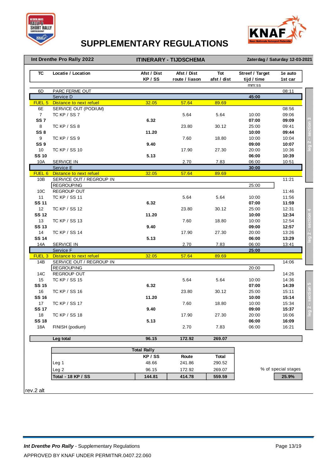



**Int Drenthe Pro Rally 2022**

**ITINERARY - TIJDSCHEMA Zaterdag / Saturday 12-03-2021**

| <b>TC</b>         | Locatie / Location       | Afst / Dist<br>KP / SS | Afst / Dist<br>route / liason | Tot<br>afst / dist | Streef / Target<br>tijd / time | 1e auto<br>1st car  |
|-------------------|--------------------------|------------------------|-------------------------------|--------------------|--------------------------------|---------------------|
|                   |                          |                        |                               |                    | mm:ss                          |                     |
| 6D                | PARC FERME OUT           |                        |                               |                    |                                | 08:11               |
|                   | Service D                |                        |                               |                    | 45:00                          |                     |
| FUEL 5            | Distance to next refuel  | 32.05                  | 57.64                         | 89.69              |                                |                     |
| 6E                | SERVICE OUT (PODIUM)     |                        |                               |                    |                                | 08:56               |
| $\overline{7}$    | TC KP / SS 7             |                        | 5.64                          | 5.64               | 10:00                          | 09:06               |
| SS <sub>7</sub>   |                          | 6.32                   |                               |                    | 07:00                          | 09:09               |
| 8                 | TC KP / SS 8             |                        | 23.80                         | 30.12              | 25:00                          | 09:41               |
| SS <sub>8</sub>   |                          | 11.20                  |                               |                    | 10:00                          | 09:44               |
| 9                 | TC KP / SS 9             |                        | 7.60                          | 18.80              | 10:00                          | 10:04               |
| SS <sub>9</sub>   |                          | 9.40                   |                               |                    | 09:00                          | 10:07               |
| 10                | <b>TC KP / SS 10</b>     |                        | 17.90                         | 27.30              | 20:00                          | 10:36               |
| <b>SS 10</b>      |                          | 5.13                   |                               |                    | 06:00                          | 10:39               |
| 10A               | <b>SERVICE IN</b>        |                        | 2.70                          | 7.83               | 06:00                          | 10:51               |
|                   | Service E                |                        |                               |                    | 30:00                          |                     |
| FUEL 6            | Distance to next refuel  | 32.05                  | 57.64                         | 89.69              |                                |                     |
| 10B               | SERVICE OUT / REGROUP IN |                        |                               |                    |                                | 11:21               |
|                   | <b>REGROUPING</b>        |                        |                               |                    | 25:00                          |                     |
| 10C               | REGROUP OUT              |                        |                               |                    |                                | 11:46               |
| 11                | <b>TC KP / SS 11</b>     |                        | 5.64                          | 5.64               | 10:00                          | 11:56               |
| <b>SS 11</b>      |                          | 6.32                   |                               |                    | 07:00                          | 11:59               |
| 12                | <b>TC KP / SS 12</b>     |                        | 23.80                         | 30.12              | 25:00                          | 12:31               |
| <b>SS 12</b>      |                          | 11.20                  |                               |                    | 10:00                          | 12:34               |
| 13                | TC KP / SS 13            |                        | 7.60                          | 18.80              | 10:00                          | 12:54               |
| <b>SS 13</b>      |                          | 9.40                   |                               |                    | 09:00                          | 12:57               |
| 14                | <b>TC KP / SS 14</b>     |                        | 17.90                         | 27.30              | 20:00                          | 13:26               |
| <b>SS 14</b>      |                          | 5.13                   |                               |                    | 06:00                          | 13:29               |
| 14A               | <b>SERVICE IN</b>        |                        | 2.70                          | 7.83               | 06:00                          | 13:41               |
|                   | Service F                |                        |                               |                    | 25:00                          |                     |
| FUEL <sub>3</sub> | Distance to next refuel  | 32.05                  | 57.64                         | 89.69              |                                |                     |
| 14B               | SERVICE OUT / REGROUP IN |                        |                               |                    |                                | 14:06               |
|                   | <b>REGROUPING</b>        |                        |                               |                    | 20:00                          |                     |
| 14C               | <b>REGROUP OUT</b>       |                        |                               |                    |                                | 14:26               |
| 15                | <b>TC KP / SS 15</b>     |                        | 5.64                          | 5.64               | 10:00                          | 14:36               |
| <b>SS 15</b>      |                          | 6.32                   |                               |                    | 07:00                          | 14:39               |
| 16                | <b>TC KP / SS 16</b>     |                        | 23.80                         | 30.12              | 25:00                          | 15:11               |
| <b>SS 16</b>      |                          | 11.20                  |                               |                    | 10:00                          | 15:14               |
| 17                | <b>TC KP / SS 17</b>     |                        | 7.60                          | 18.80              | 10:00                          | 15:34               |
| <b>SS 17</b>      |                          | 9.40                   |                               |                    | 09:00                          | 15:37               |
| 18                | TC KP / SS 18            |                        | 17.90                         | 27.30              | 20:00                          | 16:06               |
| <b>SS 18</b>      |                          | 5.13                   |                               |                    | 06:00                          | 16:09               |
| 18A               | FINISH (podium)          |                        | 2.70                          | 7.83               | 06:00                          | 16:21               |
|                   |                          |                        |                               |                    |                                |                     |
|                   | Leg total                | 96.15                  | 172.92                        | 269.07             |                                |                     |
|                   |                          | <b>Total Rally</b>     |                               |                    |                                |                     |
|                   |                          | KP / SS                | Route                         | Total              |                                |                     |
|                   | Leg <sub>1</sub>         | 48.66                  | 241.86                        | 290.52             |                                |                     |
|                   | Leg <sub>2</sub>         | 96.15                  | 172.92                        | 269.07             |                                | % of special stages |
|                   |                          |                        |                               |                    |                                |                     |
|                   | Total - 18 KP / SS       | 144.81                 | 414.78                        | 559.59             |                                | 25.9%               |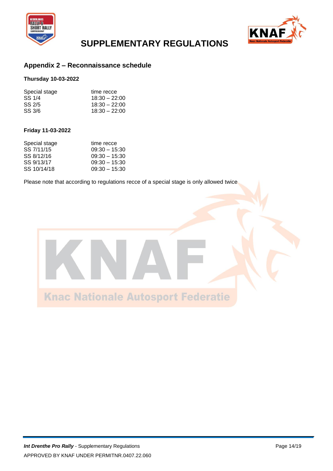



#### **Appendix 2 – Reconnaissance schedule**

#### **Thursday 10-03-2022**

| Special stage | time recce      |
|---------------|-----------------|
| SS 1/4        | $18:30 - 22:00$ |
| SS 2/5        | $18:30 - 22:00$ |
| SS 3/6        | $18:30 - 22:00$ |

#### **Friday 11-03-2022**

| Special stage | time recce      |
|---------------|-----------------|
| SS 7/11/15    | $09:30 - 15:30$ |
| SS 8/12/16    | $09:30 - 15:30$ |
| SS 9/13/17    | $09:30 - 15:30$ |
| SS 10/14/18   | $09:30 - 15:30$ |

Please note that according to regulations recce of a special stage is only allowed twice

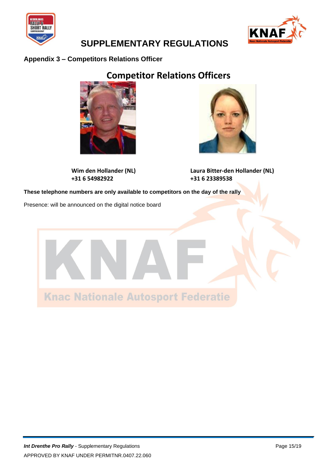



#### **Appendix 3 – Competitors Relations Officer**

### **Competitor Relations Officers**



**+31 6 54982922 +31 6 23389538**



**Wim den Hollander (NL) Laura Bitter-den Hollander (NL)**

**These telephone numbers are only available to competitors on the day of the rally**

Presence: will be announced on the digital notice board

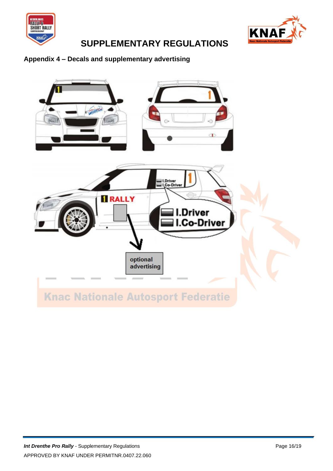



### **Appendix 4 – Decals and supplementary advertising**

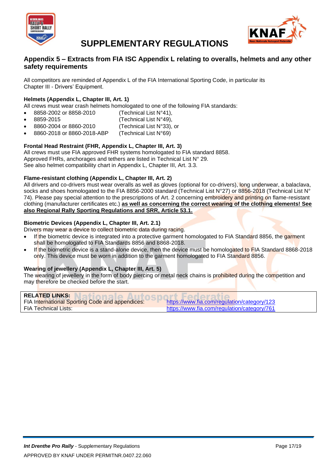



#### **Appendix 5 – Extracts from FIA ISC Appendix L relating to overalls, helmets and any other safety requirements**

All competitors are reminded of Appendix L of the FIA International Sporting Code, in particular its Chapter III - Drivers' Equipment.

#### **Helmets (Appendix L, Chapter III, Art. 1)**

All crews must wear crash helmets homologated to one of the following FIA standards:

- 8858-2002 or 8858-2010 (Technical List N°41),
- - $8859-2015$  (Technical List N°49),
- 8860-2004 or 8860-2010 (Technical List N°33), or
- 8860-2018 or 8860-2018-ABP (Technical List N°69)

#### **Frontal Head Restraint (FHR, Appendix L, Chapter III, Art. 3)**

All crews must use FIA approved FHR systems homologated to FIA standard 8858. Approved FHRs, anchorages and tethers are listed in Technical List N° 29. See also helmet compatibility chart in Appendix L, Chapter III, Art. 3.3.

#### **Flame-resistant clothing (Appendix L, Chapter III, Art. 2)**

All drivers and co-drivers must wear overalls as well as gloves (optional for co-drivers), long underwear, a balaclava, socks and shoes homologated to the FIA 8856-2000 standard (Technical List N°27) or 8856-2018 (Technical List N° 74). Please pay special attention to the prescriptions of Art. 2 concerning embroidery and printing on flame-resistant clothing (manufacturer certificates etc.) **as well as concerning the correct wearing of the clothing elements! See also Regional Rally Sporting Regulations and SRR, Article 53.1.**

#### **Biometric Devices (Appendix L, Chapter III, Art. 2.1)**

Drivers may wear a device to collect biometric data during racing.

- If the biometric device is integrated into a protective garment homologated to FIA Standard 8856, the garment shall be homologated to FIA Standards 8856 and 8868-2018.
- If the biometric device is a stand-alone device, then the device must be homologated to FIA Standard 8868-2018 only. This device must be worn in addition to the garment homologated to FIA Standard 8856.

#### **Wearing of jewellery (Appendix L, Chapter III, Art. 5)**

The wearing of jewellery in the form of body piercing or metal neck chains is prohibited during the competition and may therefore be checked before the start.

| <b>RELATED LINKS:</b>                                  |                                             |
|--------------------------------------------------------|---------------------------------------------|
| <b>FIA International Sporting Code and appendices:</b> | https://www.fia.com/regulation/category/123 |
| <b>FIA Technical Lists:</b>                            | https://www.fia.com/regulation/category/761 |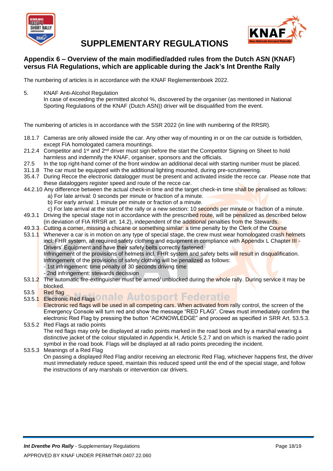



#### **Appendix 6 – Overview of the main modified/added rules from the Dutch ASN (KNAF) versus FIA Regulations, which are applicable during the Jack's Int Drenthe Rally**

The numbering of articles is in accordance with the KNAF Reglementenboek 2022.

5. KNAF Anti-Alcohol Regulation

In case of exceeding the permitted alcohol %, discovered by the organiser (as mentioned in National Sporting Regulations of the KNAF (Dutch ASN)) driver will be disqualified from the event.

The numbering of articles is in accordance with the SSR 2022 (in line with numbering of the RRSR).

- 18.1.7 Cameras are only allowed inside the car. Any other way of mounting in or on the car outside is forbidden, except FIA homologated camera mountings.
- 21.2.4 Competitor and 1<sup>st</sup> and 2<sup>nd</sup> driver must sign before the start the Competitor Signing on Sheet to hold harmless and indemnify the KNAF, organiser, sponsors and the officials.
- 27.5 In the top right-hand corner of the front window an additional decal with starting number must be placed.
- 31.1.8 The car must be equipped with the additional lighting mounted, during pre-scrutineering.
- 35.4.7 During Recce the electronic datalogger must be present and activated inside the recce car. Please note that these dataloggers register speed and route of the recce car.
- 44.2.10 Any difference between the actual check-in time and the target check-in time shall be penalised as follows:
	- a) For late arrival: 0 seconds per minute or fraction of a minute.
	- b) For early arrival: 1 minute per minute or fraction of a minute.
	- c) For late arrival at the start of the rally or a new section: 10 seconds per minute or fraction of a minute.
- 49.3.1 Driving the special stage not in accordance with the prescribed route, will be penalized as described below (in deviation of FIA RRSR art. 14.2), independent of the additional penalties from the Stewards.
- 49.3.3 Cutting a corner, missing a chicane or something similar: a time penalty by the Clerk of the Course
- 53.1.1 Whenever a car is in motion on any type of special stage, the crew must wear homologated crash helmets incl. FHR system, all required safety clothing and equipment in compliance with Appendix L Chapter III -Drivers' Equipment and have their safety belts correctly fastened.

Infringement of the provisions of helmets incl. FHR system and safety belts will result in disqualification. Infringement of the provisions of safety clothing will be penalized as follows:

- 1st infringement: time penalty of 30 seconds driving time
- 2nd infringement: stewards decission
- 53.1.2 The automatic fire-extinguisher must be armed/ unblocked during the whole rally. During service it may be blocked.
- 53.5 Red flag
- 53.5.1 Electronic Red Flags onale Autosport Federatie

Electronic red flags will be used in all competing cars. When activated from rally control, the screen of the Emergency Console will turn red and show the message "RED FLAG". Crews must immediately confirm the electronic Red Flag by pressing the button "ACKNOWLEDGE" and proceed as specified in SRR Art. 53.5.3.

#### 53.5.2 Red Flags at radio points The red flags may only be displayed at radio points marked in the road book and by a marshal wearing a distinctive jacket of the colour stipulated in Appendix H, Article 5.2.7 and on which is marked the radio point symbol in the road book. Flags will be displayed at all radio points preceding the incident.

53.5.3 Meanings of a Red Flag

On passing a displayed Red Flag and/or receiving an electronic Red Flag, whichever happens first, the driver must immediately reduce speed, maintain this reduced speed until the end of the special stage, and follow the instructions of any marshals or intervention car drivers.